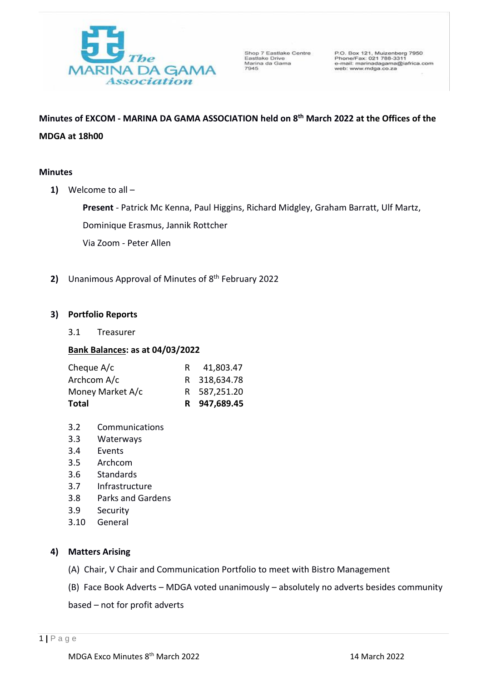

Shop 7 Eastlake Centre Shop / Eastlake<br>Eastlake Drive<br>Marina da Gama<br>7945

P.O. Box 121, Muizenberg 7950<br>Phone/Fax: 021 788-3311<br>e-mail: marinadagama@iafrica.com<br>web: www.mdga.co.za

**Minutes of EXCOM - MARINA DA GAMA ASSOCIATION held on 8 th March 2022 at the Offices of the MDGA at 18h00** 

# **Minutes**

**1)** Welcome to all –

**Present** - Patrick Mc Kenna, Paul Higgins, Richard Midgley, Graham Barratt, Ulf Martz,

Dominique Erasmus, Jannik Rottcher

Via Zoom - Peter Allen

**2)** Unanimous Approval of Minutes of 8 th February 2022

# **3) Portfolio Reports**

3.1 Treasurer

# **Bank Balances: as at 04/03/2022**

| Total            | R 947,689.45 |
|------------------|--------------|
| Money Market A/c | R 587,251.20 |
| Archcom A/c      | R 318,634.78 |
| Cheque A/c       | 41,803.47    |

- 3.2 Communications
- 3.3 Waterways
- 3.4 Events
- 3.5 Archcom
- 3.6 Standards
- 3.7 Infrastructure
- 3.8 Parks and Gardens
- 3.9 Security
- 3.10 General

# **4) Matters Arising**

- (A) Chair, V Chair and Communication Portfolio to meet with Bistro Management
- (B) Face Book Adverts MDGA voted unanimously absolutely no adverts besides community

based – not for profit adverts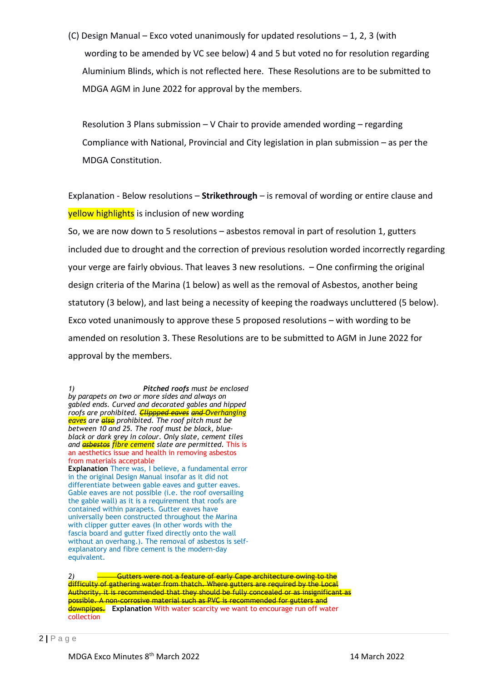(C) Design Manual – Exco voted unanimously for updated resolutions – 1, 2, 3 (with wording to be amended by VC see below) 4 and 5 but voted no for resolution regarding Aluminium Blinds, which is not reflected here. These Resolutions are to be submitted to MDGA AGM in June 2022 for approval by the members.

Resolution 3 Plans submission – V Chair to provide amended wording – regarding Compliance with National, Provincial and City legislation in plan submission – as per the MDGA Constitution.

Explanation - Below resolutions – **Strikethrough** – is removal of wording or entire clause and **yellow highlights** is inclusion of new wording

So, we are now down to 5 resolutions – asbestos removal in part of resolution 1, gutters included due to drought and the correction of previous resolution worded incorrectly regarding your verge are fairly obvious. That leaves 3 new resolutions. – One confirming the original design criteria of the Marina (1 below) as well as the removal of Asbestos, another being statutory (3 below), and last being a necessity of keeping the roadways uncluttered (5 below). Exco voted unanimously to approve these 5 proposed resolutions – with wording to be amended on resolution 3. These Resolutions are to be submitted to AGM in June 2022 for approval by the members.

*1) Pitched roofs must be enclosed by parapets on two or more sides and always on gabled ends. Curved and decorated gables and hipped roofs are prohibited. Clippped eaves and Overhanging eaves are also prohibited. The roof pitch must be between 10 and 25. The roof must be black, blueblack or dark grey in colour. Only slate, cement tiles and asbestos fibre cement slate are permitted.* This is an aesthetics issue and health in removing asbestos from materials acceptable **Explanation** There was, I believe, a fundamental error in the original Design Manual insofar as it did not differentiate between gable eaves and gutter eaves. Gable eaves are not possible (i.e. the roof oversailing the gable wall) as it is a requirement that roofs are contained within parapets. Gutter eaves have universally been constructed throughout the Marina with clipper gutter eaves (In other words with the fascia board and gutter fixed directly onto the wall without an overhang.). The removal of asbestos is selfexplanatory and fibre cement is the modern-day equivalent.

**2** Gutters were not a feature of early Cape architecture owing to the difficulty of gathering water from thatch. Where gutters are required by the Local Authority, it is recommended that they should be fully concealed or as insignificant as possible. A non-corrosive material such as PVC is recommended for gutters and downpipes. **Explanation** With water scarcity we want to encourage run off water collection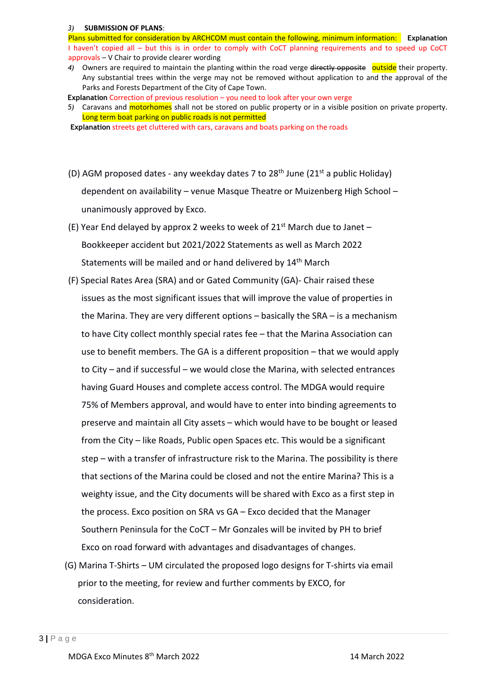### *3)* **SUBMISSION OF PLANS**:

Plans submitted for consideration by ARCHCOM must contain the following, minimum information: **Explanation** I haven't copied all – but this is in order to comply with CoCT planning requirements and to speed up CoCT approvals – V Chair to provide clearer wording

- 4) Owners are required to maintain the planting within the road verge directly opposite outside their property. Any substantial trees within the verge may not be removed without application to and the approval of the Parks and Forests Department of the City of Cape Town.
- **Explanation** Correction of previous resolution you need to look after your own verge
- *5)* Caravans and motorhomes shall not be stored on public property or in a visible position on private property. Long term boat parking on public roads is not permitted
- **Explanation** streets get cluttered with cars, caravans and boats parking on the roads
- (D) AGM proposed dates any weekday dates 7 to  $28<sup>th</sup>$  June ( $21<sup>st</sup>$  a public Holiday) dependent on availability – venue Masque Theatre or Muizenberg High School – unanimously approved by Exco.
- (E) Year End delayed by approx 2 weeks to week of 21st March due to Janet Bookkeeper accident but 2021/2022 Statements as well as March 2022 Statements will be mailed and or hand delivered by 14<sup>th</sup> March
- (F) Special Rates Area (SRA) and or Gated Community (GA)- Chair raised these issues as the most significant issues that will improve the value of properties in the Marina. They are very different options – basically the SRA – is a mechanism to have City collect monthly special rates fee – that the Marina Association can use to benefit members. The GA is a different proposition – that we would apply to City – and if successful – we would close the Marina, with selected entrances having Guard Houses and complete access control. The MDGA would require 75% of Members approval, and would have to enter into binding agreements to preserve and maintain all City assets – which would have to be bought or leased from the City – like Roads, Public open Spaces etc. This would be a significant step – with a transfer of infrastructure risk to the Marina. The possibility is there that sections of the Marina could be closed and not the entire Marina? This is a weighty issue, and the City documents will be shared with Exco as a first step in the process. Exco position on SRA vs GA – Exco decided that the Manager Southern Peninsula for the CoCT – Mr Gonzales will be invited by PH to brief Exco on road forward with advantages and disadvantages of changes.
- (G) Marina T-Shirts UM circulated the proposed logo designs for T-shirts via email prior to the meeting, for review and further comments by EXCO, for consideration.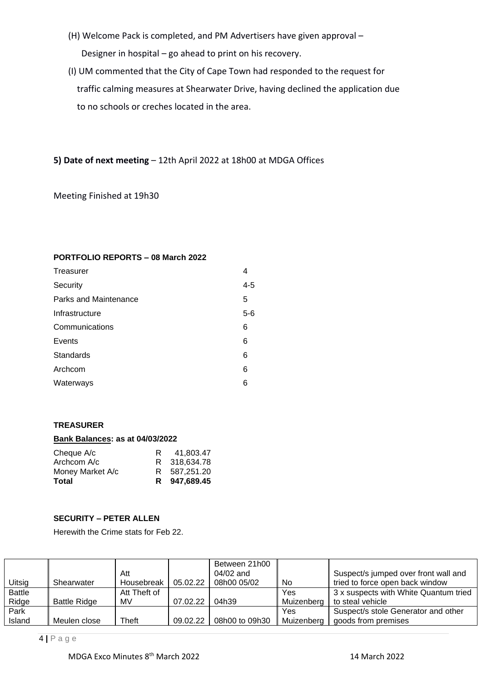- (H) Welcome Pack is completed, and PM Advertisers have given approval Designer in hospital – go ahead to print on his recovery.
- (I) UM commented that the City of Cape Town had responded to the request for traffic calming measures at Shearwater Drive, having declined the application due to no schools or creches located in the area.

**5) Date of next meeting** – 12th April 2022 at 18h00 at MDGA Offices

Meeting Finished at 19h30

# **PORTFOLIO REPORTS – 08 March 2022**

| Treasurer             | 4       |
|-----------------------|---------|
| Security              | $4 - 5$ |
| Parks and Maintenance | 5       |
| Infrastructure        | $5-6$   |
| Communications        | 6       |
| Events                | 6       |
| Standards             | 6       |
| Archcom               | 6       |
| Waterways             | 6       |

# **TREASURER**

### **Bank Balances: as at 04/03/2022**

| Cheque A/c       | R | 41.803.47    |
|------------------|---|--------------|
| Archcom A/c      |   | R 318,634.78 |
| Money Market A/c |   | R 587.251.20 |
| Total            |   | R 947.689.45 |

# **SECURITY – PETER ALLEN**

Herewith the Crime stats for Feb 22.

|               |                     |              |          | Between 21h00  |            |                                       |
|---------------|---------------------|--------------|----------|----------------|------------|---------------------------------------|
|               |                     | Att          |          | $04/02$ and    |            | Suspect/s jumped over front wall and  |
| Uitsig        | Shearwater          | Housebreak   | 05.02.22 | 08h00 05/02    | No.        | tried to force open back window       |
| <b>Battle</b> |                     | Att Theft of |          |                | Yes        | 3 x suspects with White Quantum tried |
| Ridge         | <b>Battle Ridge</b> | MV           | 07.02.22 | 04h39          | Muizenberg | to steal vehicle                      |
| Park          |                     |              |          |                | Yes        | Suspect/s stole Generator and other   |
| Island        | Meulen close        | Theft        | 09.02.22 | 08h00 to 09h30 | Muizenberg | goods from premises                   |

4 **|** P a g e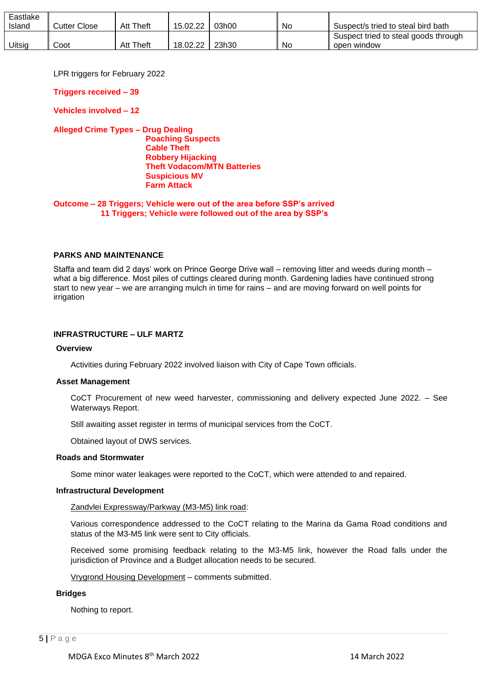| Eastlake<br>Island | Cutter Close | <b>Att Theft</b> | 15.02.22   | 03h00 | No | Suspect/s tried to steal bird bath                  |
|--------------------|--------------|------------------|------------|-------|----|-----------------------------------------------------|
| Uitsig             | Coot         | <b>Att Theft</b> | 18.02.22 ∎ | 23h30 | No | Suspect tried to steal goods through<br>open window |

LPR triggers for February 2022

**Triggers received – 39**

**Vehicles involved – 12**

### **Alleged Crime Types – Drug Dealing Poaching Suspects Cable Theft Robbery Hijacking Theft Vodacom/MTN Batteries Suspicious MV Farm Attack**

**Outcome – 28 Triggers; Vehicle were out of the area before SSP's arrived 11 Triggers; Vehicle were followed out of the area by SSP's**

# **PARKS AND MAINTENANCE**

Staffa and team did 2 days' work on Prince George Drive wall – removing litter and weeds during month – what a big difference. Most piles of cuttings cleared during month. Gardening ladies have continued strong start to new year – we are arranging mulch in time for rains – and are moving forward on well points for irrigation

# **INFRASTRUCTURE – ULF MARTZ**

### **Overview**

Activities during February 2022 involved liaison with City of Cape Town officials.

### **Asset Management**

CoCT Procurement of new weed harvester, commissioning and delivery expected June 2022. – See Waterways Report.

Still awaiting asset register in terms of municipal services from the CoCT.

Obtained layout of DWS services.

## **Roads and Stormwater**

Some minor water leakages were reported to the CoCT, which were attended to and repaired.

### **Infrastructural Development**

Zandvlei Expressway/Parkway (M3-M5) link road:

Various correspondence addressed to the CoCT relating to the Marina da Gama Road conditions and status of the M3-M5 link were sent to City officials.

Received some promising feedback relating to the M3-M5 link, however the Road falls under the jurisdiction of Province and a Budget allocation needs to be secured.

Vrygrond Housing Development – comments submitted.

### **Bridges**

Nothing to report.